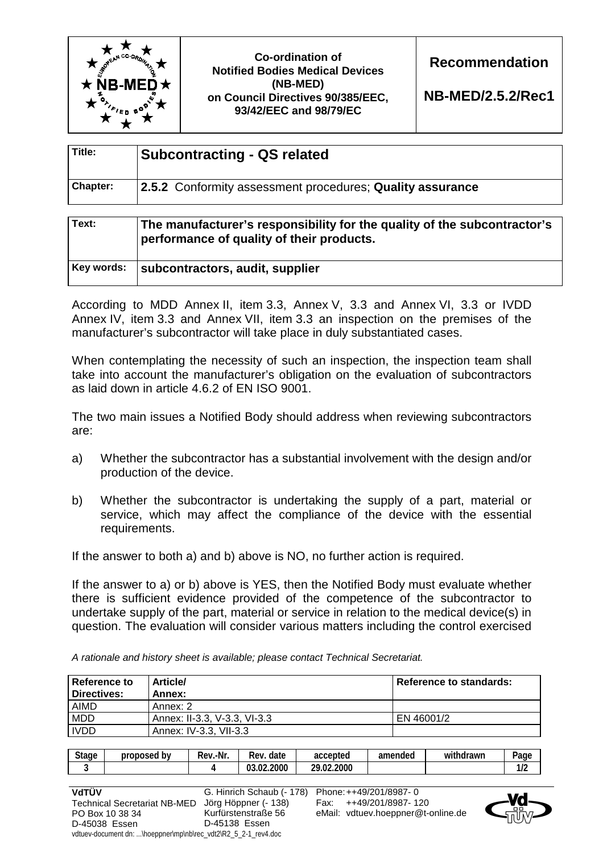

**Co-ordination of Notified Bodies Medical Devices (NB-MED) on Council Directives 90/385/EEC, 93/42/EEC and 98/79/EC** 

**Recommendation** 

**NB-MED/2.5.2/Rec1**

| Title:          | <b>Subcontracting - QS related</b>                        |  |
|-----------------|-----------------------------------------------------------|--|
| <b>Chapter:</b> | 2.5.2 Conformity assessment procedures; Quality assurance |  |
|                 |                                                           |  |

| Text:      | The manufacturer's responsibility for the quality of the subcontractor's<br>performance of quality of their products. |  |
|------------|-----------------------------------------------------------------------------------------------------------------------|--|
| Key words: | subcontractors, audit, supplier                                                                                       |  |

According to MDD Annex II, item 3.3, Annex V, 3.3 and Annex VI, 3.3 or IVDD Annex IV, item 3.3 and Annex VII, item 3.3 an inspection on the premises of the manufacturer's subcontractor will take place in duly substantiated cases.

When contemplating the necessity of such an inspection, the inspection team shall take into account the manufacturer's obligation on the evaluation of subcontractors as laid down in article 4.6.2 of EN ISO 9001.

The two main issues a Notified Body should address when reviewing subcontractors are:

- a) Whether the subcontractor has a substantial involvement with the design and/or production of the device.
- b) Whether the subcontractor is undertaking the supply of a part, material or service, which may affect the compliance of the device with the essential requirements.

If the answer to both a) and b) above is NO, no further action is required.

If the answer to a) or b) above is YES, then the Notified Body must evaluate whether there is sufficient evidence provided of the competence of the subcontractor to undertake supply of the part, material or service in relation to the medical device(s) in question. The evaluation will consider various matters including the control exercised

*A rationale and history sheet is available; please contact Technical Secretariat.* 

| <b>Reference to</b><br>Directives: | <b>Article/</b><br>Annex:    | Reference to standards: |
|------------------------------------|------------------------------|-------------------------|
| AIMD                               | Annex: 2                     |                         |
| MDD                                | Annex: II-3.3, V-3.3, VI-3.3 | EN 46001/2              |
| <b>IVDD</b>                        | Annex: IV-3.3, VII-3.3       |                         |

| <b>Stage</b> | proposed<br>bv | -Nr<br>-<br>Rev. | date<br>Rev.          | accepted<br>aul       | amended | $\cdots$<br>าdrawr<br>wn | $o_{\text{age}}$     |
|--------------|----------------|------------------|-----------------------|-----------------------|---------|--------------------------|----------------------|
|              |                |                  | .2000<br>$\sim$<br>nη | .2000<br>າດ<br>$\sim$ |         |                          | $\overline{10}$<br>. |

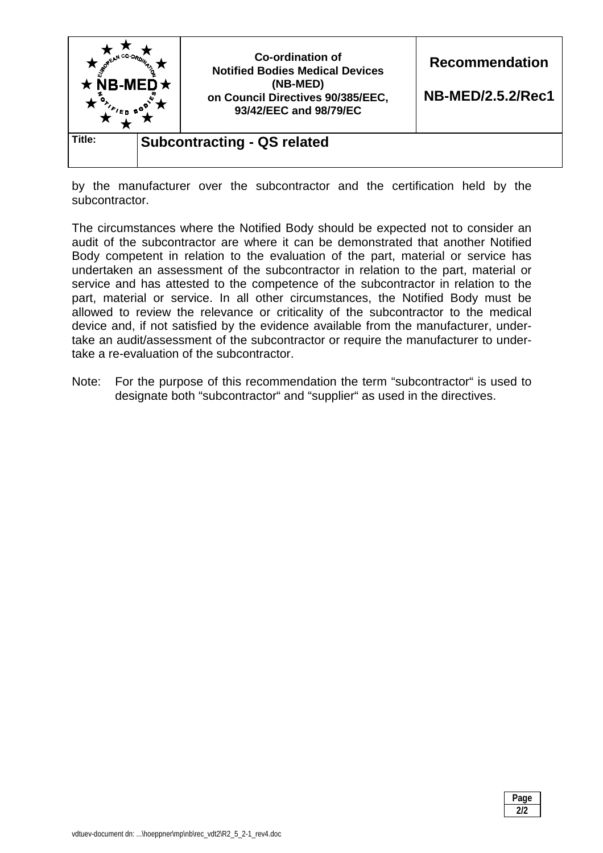

by the manufacturer over the subcontractor and the certification held by the subcontractor.

The circumstances where the Notified Body should be expected not to consider an audit of the subcontractor are where it can be demonstrated that another Notified Body competent in relation to the evaluation of the part, material or service has undertaken an assessment of the subcontractor in relation to the part, material or service and has attested to the competence of the subcontractor in relation to the part, material or service. In all other circumstances, the Notified Body must be allowed to review the relevance or criticality of the subcontractor to the medical device and, if not satisfied by the evidence available from the manufacturer, undertake an audit/assessment of the subcontractor or require the manufacturer to undertake a re-evaluation of the subcontractor.

Note: For the purpose of this recommendation the term "subcontractor" is used to designate both "subcontractor" and "supplier" as used in the directives.

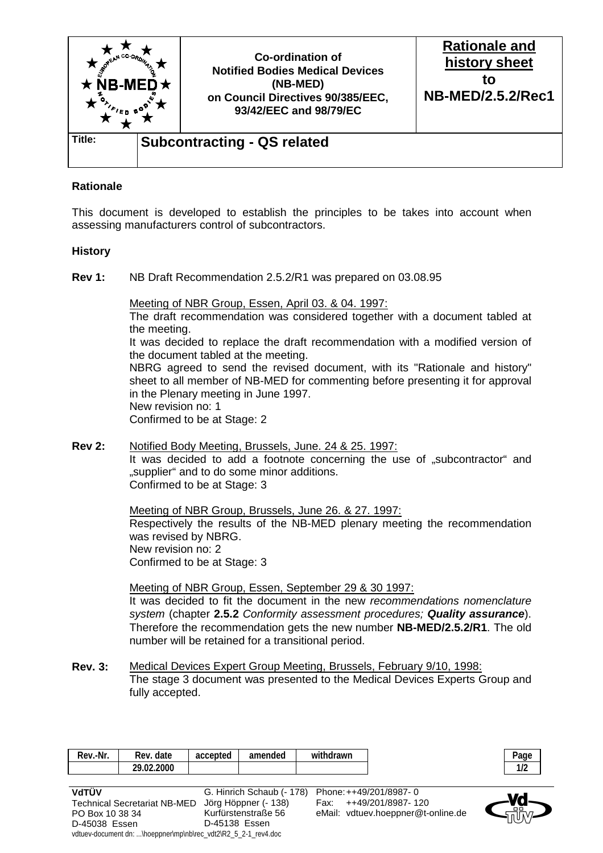

## **Rationale**

This document is developed to establish the principles to be takes into account when assessing manufacturers control of subcontractors.

## **History**

PO Box 10 38 34 D-45038 Essen

**Rev 1:** NB Draft Recommendation 2.5.2/R1 was prepared on 03.08.95

 Meeting of NBR Group, Essen, April 03. & 04. 1997: The draft recommendation was considered together with a document tabled at the meeting. It was decided to replace the draft recommendation with a modified version of the document tabled at the meeting. NBRG agreed to send the revised document, with its "Rationale and history" sheet to all member of NB-MED for commenting before presenting it for approval in the Plenary meeting in June 1997. New revision no: 1 Confirmed to be at Stage: 2

**Rev 2:** Notified Body Meeting, Brussels, June. 24 & 25. 1997: It was decided to add a footnote concerning the use of "subcontractor" and ..supplier" and to do some minor additions. Confirmed to be at Stage: 3

> Meeting of NBR Group, Brussels, June 26. & 27. 1997: Respectively the results of the NB-MED plenary meeting the recommendation was revised by NBRG. New revision no: 2 Confirmed to be at Stage: 3

> Meeting of NBR Group, Essen, September 29 & 30 1997: It was decided to fit the document in the new *recommendations nomenclature system* (chapter **2.5.2** *Conformity assessment procedures; Quality assurance*). Therefore the recommendation gets the new number **NB-MED/2.5.2/R1**. The old number will be retained for a transitional period.

**Rev. 3:** Medical Devices Expert Group Meeting, Brussels, February 9/10, 1998: The stage 3 document was presented to the Medical Devices Experts Group and fully accepted.

| Rev.-Nr.                            | Rev. date  | accepted | amended              | withdrawn                                        |                   | Page      |
|-------------------------------------|------------|----------|----------------------|--------------------------------------------------|-------------------|-----------|
|                                     | 29.02.2000 |          |                      |                                                  |                   | 1/2       |
|                                     |            |          |                      |                                                  |                   |           |
| VdTÜV                               |            |          |                      | G. Hinrich Schaub (- 178) Phone: ++49/201/8987-0 |                   | <b>Ma</b> |
| <b>Technical Secretariat NB-MED</b> |            |          | Jörg Höppner (- 138) | Fax:                                             | ++49/201/8987-120 |           |

Kurfürstenstraße 56 D-45138 Essen

vdtuev-document dn: ...\hoeppner\mp\nb\rec\_vdt2\R2\_5\_2-1\_rev4.doc